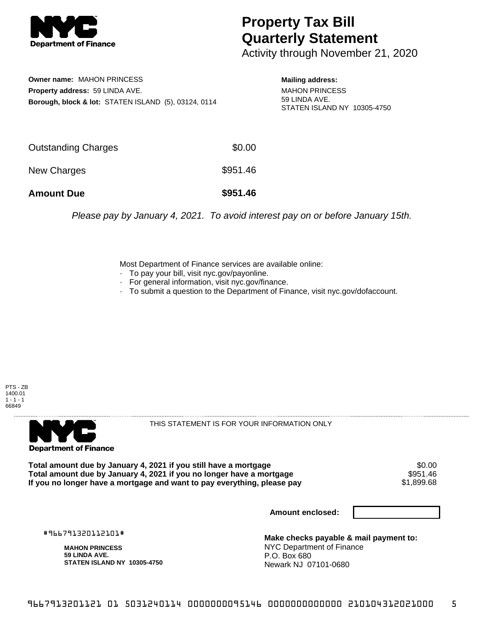

## **Property Tax Bill Quarterly Statement**

Activity through November 21, 2020

**Owner name:** MAHON PRINCESS **Property address:** 59 LINDA AVE. **Borough, block & lot:** STATEN ISLAND (5), 03124, 0114

**Mailing address:** MAHON PRINCESS 59 LINDA AVE. STATEN ISLAND NY 10305-4750

| <b>Amount Due</b>   | \$951.46 |
|---------------------|----------|
| New Charges         | \$951.46 |
| Outstanding Charges | \$0.00   |

Please pay by January 4, 2021. To avoid interest pay on or before January 15th.

Most Department of Finance services are available online:

- · To pay your bill, visit nyc.gov/payonline.
- For general information, visit nyc.gov/finance.
- · To submit a question to the Department of Finance, visit nyc.gov/dofaccount.





THIS STATEMENT IS FOR YOUR INFORMATION ONLY

Total amount due by January 4, 2021 if you still have a mortgage \$0.00<br>Total amount due by January 4, 2021 if you no longer have a mortgage \$951.46 Total amount due by January 4, 2021 if you no longer have a mortgage **\$951.46** \$951.46<br>If you no longer have a mortgage and want to pay everything, please pay If you no longer have a mortgage and want to pay everything, please pay

**Amount enclosed:**

#966791320112101#

**MAHON PRINCESS 59 LINDA AVE. STATEN ISLAND NY 10305-4750**

**Make checks payable & mail payment to:** NYC Department of Finance P.O. Box 680 Newark NJ 07101-0680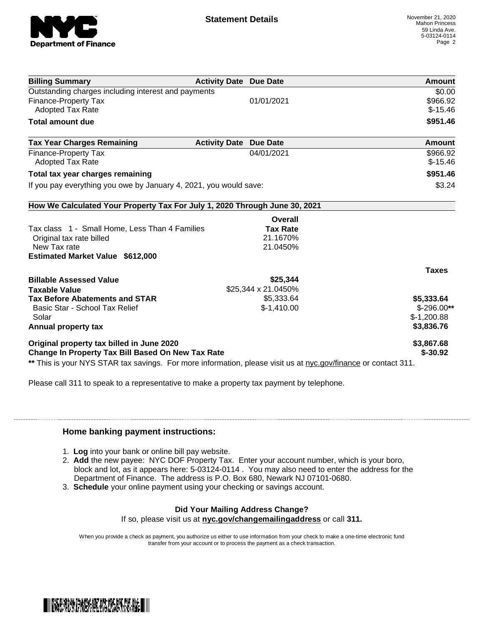

| <b>Billing Summary</b>                                                                                         | <b>Activity Date Due Date</b> | Amount        |
|----------------------------------------------------------------------------------------------------------------|-------------------------------|---------------|
| Outstanding charges including interest and payments                                                            |                               | \$0.00        |
| Finance-Property Tax                                                                                           | 01/01/2021                    | \$966.92      |
| <b>Adopted Tax Rate</b>                                                                                        |                               | $$-15.46$     |
| <b>Total amount due</b>                                                                                        |                               | \$951.46      |
| <b>Tax Year Charges Remaining</b>                                                                              | <b>Activity Date Due Date</b> | <b>Amount</b> |
| Finance-Property Tax                                                                                           | 04/01/2021                    | \$966.92      |
| <b>Adopted Tax Rate</b>                                                                                        |                               | $$-15.46$     |
| Total tax year charges remaining                                                                               |                               | \$951.46      |
| If you pay everything you owe by January 4, 2021, you would save:                                              |                               | \$3.24        |
| How We Calculated Your Property Tax For July 1, 2020 Through June 30, 2021                                     |                               |               |
|                                                                                                                | Overall                       |               |
| Tax class 1 - Small Home, Less Than 4 Families                                                                 | <b>Tax Rate</b>               |               |
| Original tax rate billed                                                                                       | 21.1670%                      |               |
| New Tax rate                                                                                                   | 21.0450%                      |               |
| <b>Estimated Market Value \$612,000</b>                                                                        |                               |               |
|                                                                                                                |                               | <b>Taxes</b>  |
| <b>Billable Assessed Value</b>                                                                                 | \$25,344                      |               |
| <b>Taxable Value</b>                                                                                           | \$25,344 x 21.0450%           |               |
| <b>Tax Before Abatements and STAR</b>                                                                          | \$5,333.64                    | \$5,333.64    |
| Basic Star - School Tax Relief                                                                                 | $$-1,410.00$                  | $$-296.00**$  |
| Solar                                                                                                          |                               | $$-1,200.88$  |
| Annual property tax                                                                                            |                               | \$3,836.76    |
| Original property tax billed in June 2020                                                                      |                               | \$3,867.68    |
| <b>Change In Property Tax Bill Based On New Tax Rate</b>                                                       |                               | $$ -30.92$    |
| ** This is your NYS STAR tax savings. For more information, please visit us at nyc.gov/finance or contact 311. |                               |               |

Please call 311 to speak to a representative to make a property tax payment by telephone.

## **Home banking payment instructions:**

- 1. **Log** into your bank or online bill pay website.
- 2. **Add** the new payee: NYC DOF Property Tax. Enter your account number, which is your boro, block and lot, as it appears here: 5-03124-0114 . You may also need to enter the address for the Department of Finance. The address is P.O. Box 680, Newark NJ 07101-0680.
- 3. **Schedule** your online payment using your checking or savings account.

## **Did Your Mailing Address Change?**

If so, please visit us at **nyc.gov/changemailingaddress** or call **311.**

When you provide a check as payment, you authorize us either to use information from your check to make a one-time electronic fund transfer from your account or to process the payment as a check transaction.